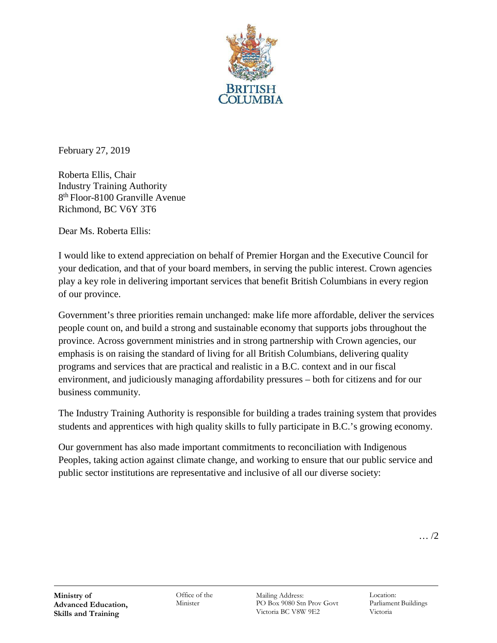

February 27, 2019

Roberta Ellis, Chair Industry Training Authority 8th Floor-8100 Granville Avenue Richmond, BC V6Y 3T6

Dear Ms. Roberta Ellis:

I would like to extend appreciation on behalf of Premier Horgan and the Executive Council for your dedication, and that of your board members, in serving the public interest. Crown agencies play a key role in delivering important services that benefit British Columbians in every region of our province.

Government's three priorities remain unchanged: make life more affordable, deliver the services people count on, and build a strong and sustainable economy that supports jobs throughout the province. Across government ministries and in strong partnership with Crown agencies, our emphasis is on raising the standard of living for all British Columbians, delivering quality programs and services that are practical and realistic in a B.C. context and in our fiscal environment, and judiciously managing affordability pressures – both for citizens and for our business community.

The Industry Training Authority is responsible for building a trades training system that provides students and apprentices with high quality skills to fully participate in B.C.'s growing economy.

Our government has also made important commitments to reconciliation with Indigenous Peoples, taking action against climate change, and working to ensure that our public service and public sector institutions are representative and inclusive of all our diverse society: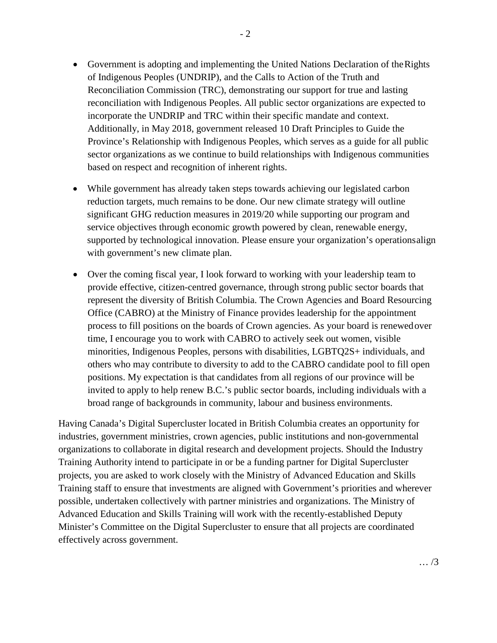- Government is adopting and implementing the United Nations Declaration of the Rights of Indigenous Peoples (UNDRIP), and the Calls to Action of the Truth and Reconciliation Commission (TRC), demonstrating our support for true and lasting reconciliation with Indigenous Peoples. All public sector organizations are expected to incorporate the UNDRIP and TRC within their specific mandate and context. Additionally, in May 2018, government released 10 Draft Principles to Guide the Province's Relationship with Indigenous Peoples, which serves as a guide for all public sector organizations as we continue to build relationships with Indigenous communities based on respect and recognition of inherent rights.
- While government has already taken steps towards achieving our legislated carbon reduction targets, much remains to be done. Our new climate strategy will outline significant GHG reduction measures in 2019/20 while supporting our program and service objectives through economic growth powered by clean, renewable energy, supported by technological innovation. Please ensure your organization's operationsalign with government's new climate plan.
- Over the coming fiscal year, I look forward to working with your leadership team to provide effective, citizen-centred governance, through strong public sector boards that represent the diversity of British Columbia. The Crown Agencies and Board Resourcing Office (CABRO) at the Ministry of Finance provides leadership for the appointment process to fill positions on the boards of Crown agencies. As your board is renewedover time, I encourage you to work with CABRO to actively seek out women, visible minorities, Indigenous Peoples, persons with disabilities, LGBTQ2S+ individuals, and others who may contribute to diversity to add to the CABRO candidate pool to fill open positions. My expectation is that candidates from all regions of our province will be invited to apply to help renew B.C.'s public sector boards, including individuals with a broad range of backgrounds in community, labour and business environments.

Having Canada's Digital Supercluster located in British Columbia creates an opportunity for industries, government ministries, crown agencies, public institutions and non-governmental organizations to collaborate in digital research and development projects. Should the Industry Training Authority intend to participate in or be a funding partner for Digital Supercluster projects, you are asked to work closely with the Ministry of Advanced Education and Skills Training staff to ensure that investments are aligned with Government's priorities and wherever possible, undertaken collectively with partner ministries and organizations. The Ministry of Advanced Education and Skills Training will work with the recently-established Deputy Minister's Committee on the Digital Supercluster to ensure that all projects are coordinated effectively across government.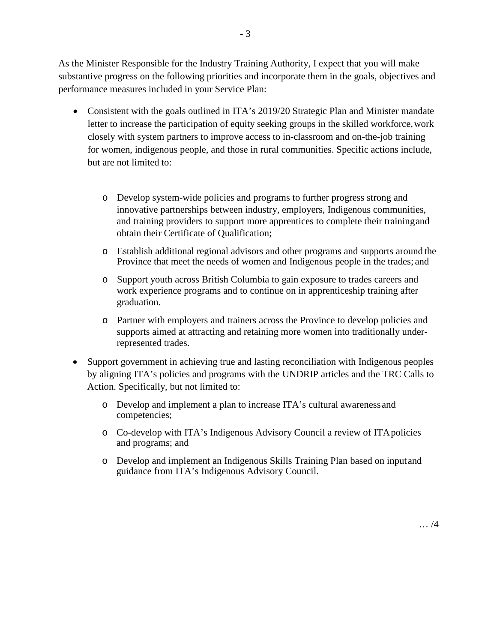As the Minister Responsible for the Industry Training Authority, I expect that you will make substantive progress on the following priorities and incorporate them in the goals, objectives and performance measures included in your Service Plan:

- Consistent with the goals outlined in ITA's 2019/20 Strategic Plan and Minister mandate letter to increase the participation of equity seeking groups in the skilled workforce,work closely with system partners to improve access to in-classroom and on-the-job training for women, indigenous people, and those in rural communities. Specific actions include, but are not limited to:
	- o Develop system-wide policies and programs to further progress strong and innovative partnerships between industry, employers, Indigenous communities, and training providers to support more apprentices to complete their trainingand obtain their Certificate of Qualification;
	- o Establish additional regional advisors and other programs and supports around the Province that meet the needs of women and Indigenous people in the trades; and
	- o Support youth across British Columbia to gain exposure to trades careers and work experience programs and to continue on in apprenticeship training after graduation.
	- o Partner with employers and trainers across the Province to develop policies and supports aimed at attracting and retaining more women into traditionally underrepresented trades.
- Support government in achieving true and lasting reconciliation with Indigenous peoples by aligning ITA's policies and programs with the UNDRIP articles and the TRC Calls to Action. Specifically, but not limited to:
	- o Develop and implement a plan to increase ITA's cultural awareness and competencies;
	- o Co-develop with ITA's Indigenous Advisory Council a review of ITApolicies and programs; and
	- o Develop and implement an Indigenous Skills Training Plan based on inputand guidance from ITA's Indigenous Advisory Council.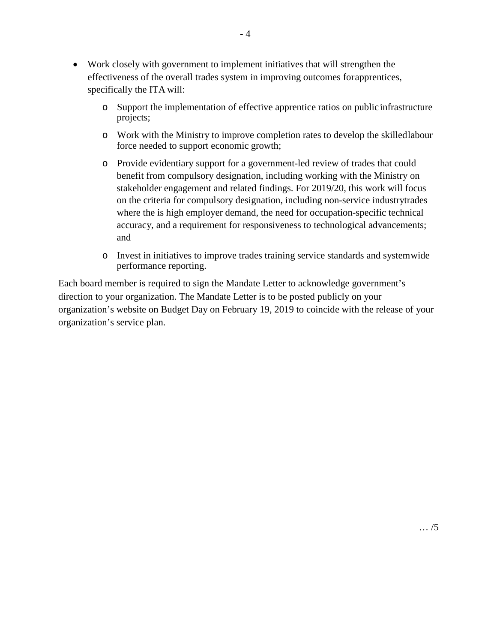- Work closely with government to implement initiatives that will strengthen the effectiveness of the overall trades system in improving outcomes forapprentices, specifically the ITA will:
	- o Support the implementation of effective apprentice ratios on public infrastructure projects;
	- o Work with the Ministry to improve completion rates to develop the skilledlabour force needed to support economic growth;
	- o Provide evidentiary support for a government-led review of trades that could benefit from compulsory designation, including working with the Ministry on stakeholder engagement and related findings. For 2019/20, this work will focus on the criteria for compulsory designation, including non-service industrytrades where the is high employer demand, the need for occupation-specific technical accuracy, and a requirement for responsiveness to technological advancements; and
	- o Invest in initiatives to improve trades training service standards and systemwide performance reporting.

Each board member is required to sign the Mandate Letter to acknowledge government's direction to your organization. The Mandate Letter is to be posted publicly on your organization's website on Budget Day on February 19, 2019 to coincide with the release of your organization's service plan.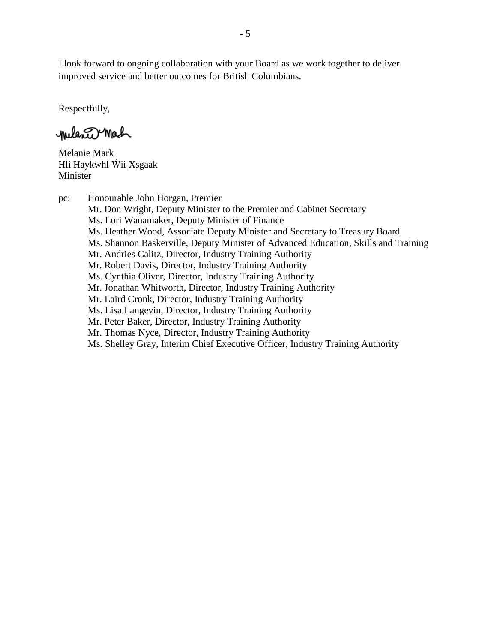I look forward to ongoing collaboration with your Board as we work together to deliver improved service and better outcomes for British Columbians.

Respectfully,

milance Mach

Melanie Mark Hli Haykwhl Wii Xsgaak Minister

pc: Honourable John Horgan, Premier Mr. Don Wright, Deputy Minister to the Premier and Cabinet Secretary Ms. Lori Wanamaker, Deputy Minister of Finance Ms. Heather Wood, Associate Deputy Minister and Secretary to Treasury Board Ms. Shannon Baskerville, Deputy Minister of Advanced Education, Skills and Training Mr. Andries Calitz, Director, Industry Training Authority Mr. Robert Davis, Director, Industry Training Authority Ms. Cynthia Oliver, Director, Industry Training Authority Mr. Jonathan Whitworth, Director, Industry Training Authority Mr. Laird Cronk, Director, Industry Training Authority Ms. Lisa Langevin, Director, Industry Training Authority Mr. Peter Baker, Director, Industry Training Authority Mr. Thomas Nyce, Director, Industry Training Authority Ms. Shelley Gray, Interim Chief Executive Officer, Industry Training Authority